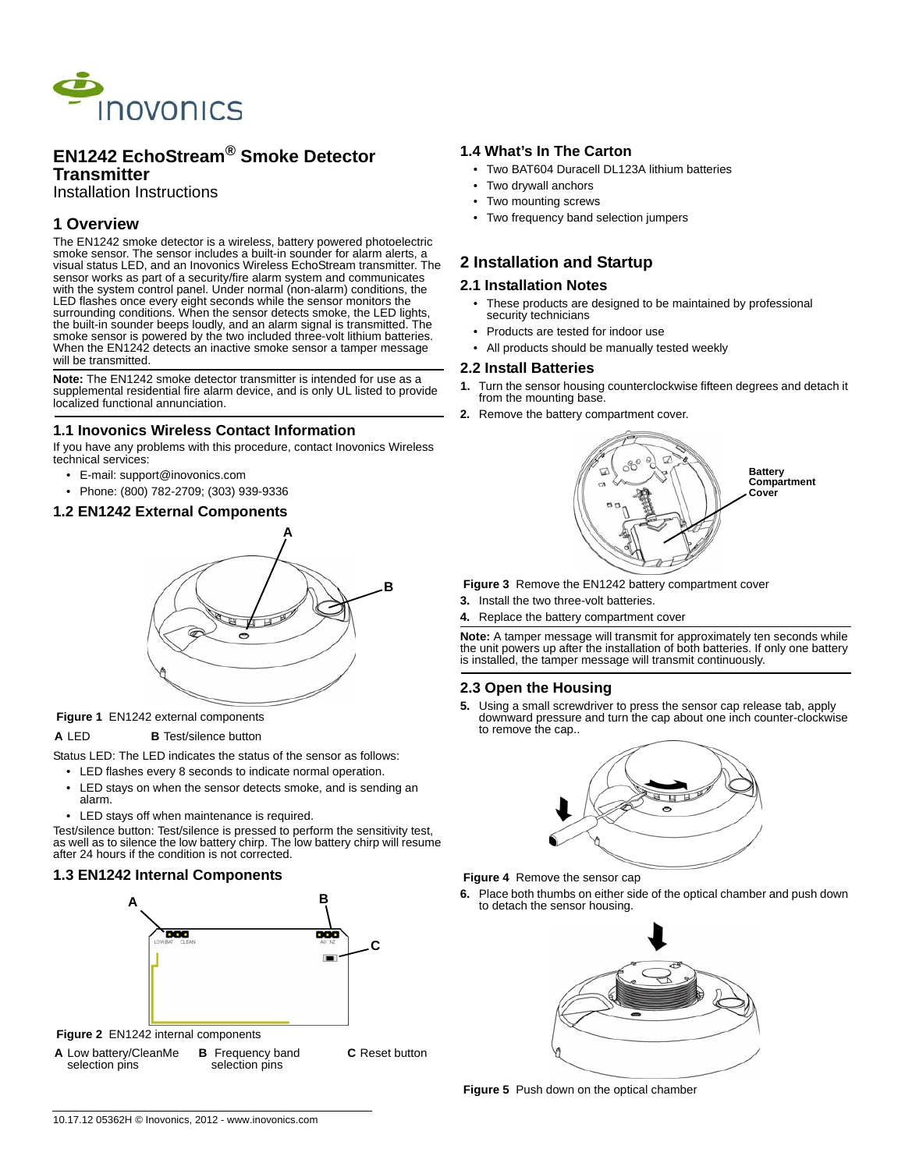

## **EN1242 EchoStream® Smoke Detector Transmitter**

Installation Instructions

# **1 Overview**

The EN1242 smoke detector is a wireless, battery powered photoelectric smoke sensor. The sensor includes a built-in sounder for alarm alerts, a visual status LED, and an Inovonics Wireless EchoStream transmitter. The sensor works as part of a security/fire alarm system and communicates with the system control panel. Under normal (non-alarm) conditions, the LED flashes once every eight seconds while the sensor monitors the surrounding conditions. When the sensor detects smoke, the LED lights, the built-in sounder beeps loudly, and an alarm signal is transmitted. The smoke sensor is powered by the two included three-volt lithium batteries. When the EN1242 detects an inactive smoke sensor a tamper message will be transmitted.

**Note:** The EN1242 smoke detector transmitter is intended for use as a supplemental residential fire alarm device, and is only UL listed to provide localized functional annunciation.

#### **1.1 Inovonics Wireless Contact Information**

If you have any problems with this procedure, contact Inovonics Wireless technical services:

- E-mail: support@inovonics.com
- Phone: (800) 782-2709; (303) 939-9336
- **1.2 EN1242 External Components**



#### **Figure 1** EN1242 external components

#### **A** LED **B** Test/silence button

Status LED: The LED indicates the status of the sensor as follows:

• LED flashes every 8 seconds to indicate normal operation.

- LED stays on when the sensor detects smoke, and is sending an alarm.
- LED stays off when maintenance is required.

Test/silence button: Test/silence is pressed to perform the sensitivity test, as well as to silence the low battery chirp. The low battery chirp will resume after 24 hours if the condition is not corrected.

### **1.3 EN1242 Internal Components**





### **1.4 What's In The Carton**

- Two BAT604 Duracell DL123A lithium batteries
- Two drywall anchors
- Two mounting screws
- Two frequency band selection jumpers

## **2 Installation and Startup**

#### **2.1 Installation Notes**

- These products are designed to be maintained by professional security technicians
- Products are tested for indoor use
- All products should be manually tested weekly

#### **2.2 Install Batteries**

- **1.** Turn the sensor housing counterclockwise fifteen degrees and detach it from the mounting base.
- **2.** Remove the battery compartment cover.



- **Figure 3** Remove the EN1242 battery compartment cover
- **3.** Install the two three-volt batteries.
- **4.** Replace the battery compartment cover

**Note:** A tamper message will transmit for approximately ten seconds while the unit powers up after the installation of both batteries. If only one battery is installed, the tamper message will transmit continuously.

### **2.3 Open the Housing**

**5.** Using a small screwdriver to press the sensor cap release tab, apply downward pressure and turn the cap about one inch counter-clockwise to remove the cap..



 **Figure 4** Remove the sensor cap

**6.** Place both thumbs on either side of the optical chamber and push down to detach the sensor housing.



 **Figure 5** Push down on the optical chamber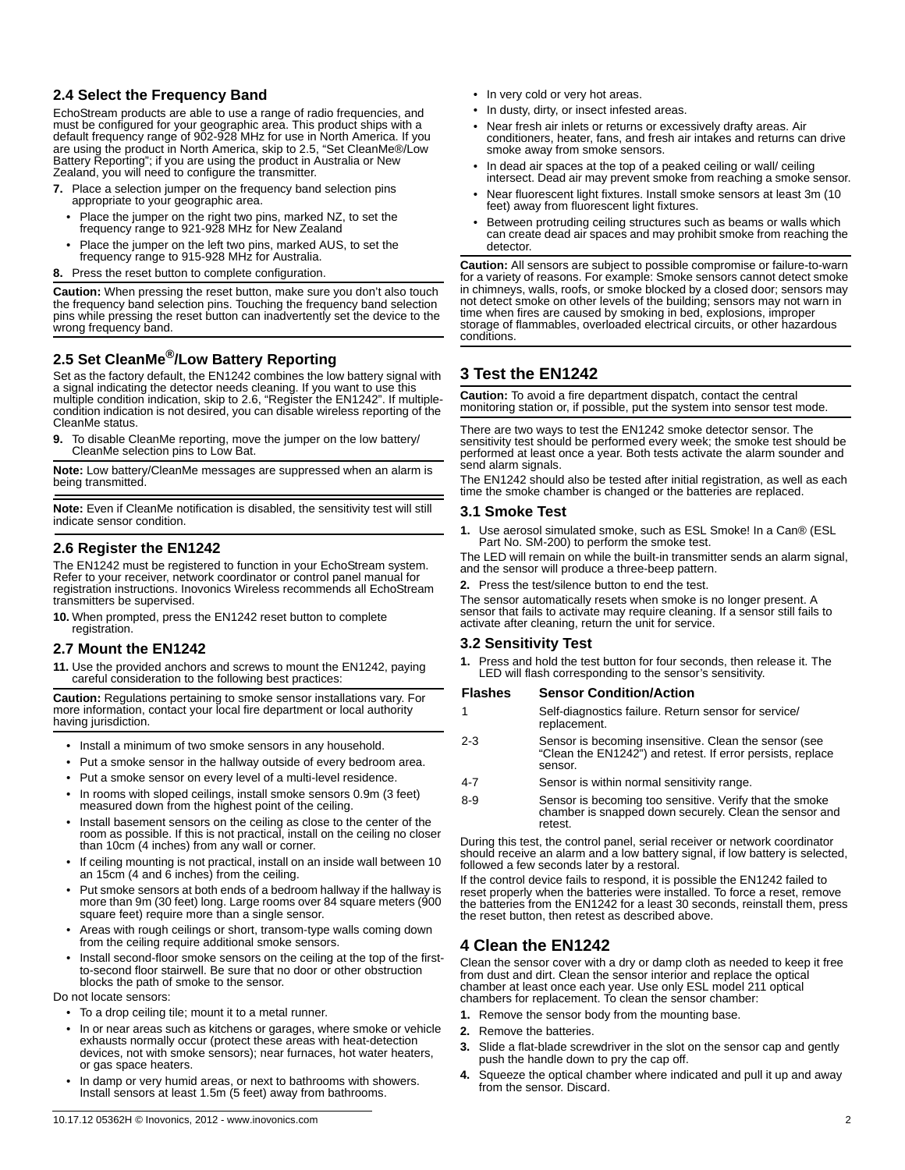### **2.4 Select the Frequency Band**

EchoStream products are able to use a range of radio frequencies, and must be configured for your geographic area. This product ships with a default frequency range of 902-928 MHz for use in North America. If you are using the product in North America, skip to 2.5, "Set CleanMe®/Low Battery Reporting"; if you are using the product in Australia or New Zealand, you will need to configure the transmitter.

- **7.** Place a selection jumper on the frequency band selection pins appropriate to your geographic area.
	- Place the jumper on the right two pins, marked NZ, to set the frequency range to 921-928 MHz for New Zealand
	- Place the jumper on the left two pins, marked AUS, to set the frequency range to 915-928 MHz for Australia.
- **8.** Press the reset button to complete configuration.

**Caution:** When pressing the reset button, make sure you don't also touch the frequency band selection pins. Touching the frequency band selection pins while pressing the reset button can inadvertently set the device to the wrong frequency band.

# **2.5 Set CleanMe®/Low Battery Reporting**

Set as the factory default, the EN1242 combines the low battery signal with a signal indicating the detector needs cleaning. If you want to use this multiple condition indication, skip to 2.6, "Register the EN1242". If multiplecondition indication is not desired, you can disable wireless reporting of the CleanMe status.

**9.** To disable CleanMe reporting, move the jumper on the low battery/ CleanMe selection pins to Low Bat.

**Note:** Low battery/CleanMe messages are suppressed when an alarm is being transmitted.

**Note:** Even if CleanMe notification is disabled, the sensitivity test will still indicate sensor condition.

## **2.6 Register the EN1242**

The EN1242 must be registered to function in your EchoStream system. Refer to your receiver, network coordinator or control panel manual for registration instructions. Inovonics Wireless recommends all EchoStream transmitters be supervised.

**10.** When prompted, press the EN1242 reset button to complete registration.

### **2.7 Mount the EN1242**

**11.** Use the provided anchors and screws to mount the EN1242, paying careful consideration to the following best practices:

**Caution:** Regulations pertaining to smoke sensor installations vary. For more information, contact your local fire department or local authority having jurisdiction.

- Install a minimum of two smoke sensors in any household.
- Put a smoke sensor in the hallway outside of every bedroom area.
- Put a smoke sensor on every level of a multi-level residence.
- In rooms with sloped ceilings, install smoke sensors 0.9m (3 feet) measured down from the highest point of the ceiling.
- Install basement sensors on the ceiling as close to the center of the room as possible. If this is not practical, install on the ceiling no closer than 10cm (4 inches) from any wall or corner.
- If ceiling mounting is not practical, install on an inside wall between 10 an 15cm (4 and 6 inches) from the ceiling.
- Put smoke sensors at both ends of a bedroom hallway if the hallway is more than 9m (30 feet) long. Large rooms over 84 square meters (900 square feet) require more than a single sensor.
- Areas with rough ceilings or short, transom-type walls coming down from the ceiling require additional smoke sensors.
- Install second-floor smoke sensors on the ceiling at the top of the firstto-second floor stairwell. Be sure that no door or other obstruction blocks the path of smoke to the sensor.

Do not locate sensors:

- To a drop ceiling tile; mount it to a metal runner.
- In or near areas such as kitchens or garages, where smoke or vehicle exhausts normally occur (protect these areas with heat-detection devices, not with smoke sensors); near furnaces, hot water heaters, or gas space heaters.
- In damp or very humid areas, or next to bathrooms with showers. Install sensors at least 1.5m (5 feet) away from bathrooms.
- In very cold or very hot areas.
- In dusty, dirty, or insect infested areas.
- Near fresh air inlets or returns or excessively drafty areas. Air conditioners, heater, fans, and fresh air intakes and returns can drive smoke away from smoke sensors.
- In dead air spaces at the top of a peaked ceiling or wall/ ceiling intersect. Dead air may prevent smoke from reaching a smoke sensor.
- Near fluorescent light fixtures. Install smoke sensors at least 3m (10 feet) away from fluorescent light fixtures.
- Between protruding ceiling structures such as beams or walls which can create dead air spaces and may prohibit smoke from reaching the detector.

**Caution:** All sensors are subject to possible compromise or failure-to-warn for a variety of reasons. For example: Smoke sensors cannot detect smoke in chimneys, walls, roofs, or smoke blocked by a closed door; sensors may not detect smoke on other levels of the building; sensors may not warn in time when fires are caused by smoking in bed, explosions, improper storage of flammables, overloaded electrical circuits, or other hazardous conditions.

# **3 Test the EN1242**

**Caution:** To avoid a fire department dispatch, contact the central monitoring station or, if possible, put the system into sensor test mode.

There are two ways to test the EN1242 smoke detector sensor. The sensitivity test should be performed every week; the smoke test should be performed at least once a year. Both tests activate the alarm sounder and send alarm signals.

The EN1242 should also be tested after initial registration, as well as each time the smoke chamber is changed or the batteries are replaced.

### **3.1 Smoke Test**

**1.** Use aerosol simulated smoke, such as ESL Smoke! In a Can® (ESL Part No. SM-200) to perform the smoke test.

The LED will remain on while the built-in transmitter sends an alarm signal, and the sensor will produce a three-beep pattern.

**2.** Press the test/silence button to end the test.

The sensor automatically resets when smoke is no longer present. A sensor that fails to activate may require cleaning. If a sensor still fails to activate after cleaning, return the unit for service.

### **3.2 Sensitivity Test**

**1.** Press and hold the test button for four seconds, then release it. The LED will flash corresponding to the sensor's sensitivity.

#### **Flashes Sensor Condition/Action**

- 1 Self-diagnostics failure. Return sensor for service/ replacement. 2-3 Sensor is becoming insensitive. Clean the sensor (see
- "Clean the EN1242") and retest. If error persists, replace sensor.
- 4-7 Sensor is within normal sensitivity range.
- 8-9 Sensor is becoming too sensitive. Verify that the smoke chamber is snapped down securely. Clean the sensor and retest.

During this test, the control panel, serial receiver or network coordinator should receive an alarm and a low battery signal, if low battery is selected, followed a few seconds later by a restoral.

If the control device fails to respond, it is possible the EN1242 failed to reset properly when the batteries were installed. To force a reset, remove the batteries from the EN1242 for a least 30 seconds, reinstall them, press the reset button, then retest as described above.

## **4 Clean the EN1242**

Clean the sensor cover with a dry or damp cloth as needed to keep it free from dust and dirt. Clean the sensor interior and replace the optical chamber at least once each year. Use only ESL model 211 optical chambers for replacement. To clean the sensor chamber:

- **1.** Remove the sensor body from the mounting base.
- **2.** Remove the batteries.
- **3.** Slide a flat-blade screwdriver in the slot on the sensor cap and gently push the handle down to pry the cap off.
- **4.** Squeeze the optical chamber where indicated and pull it up and away from the sensor. Discard.